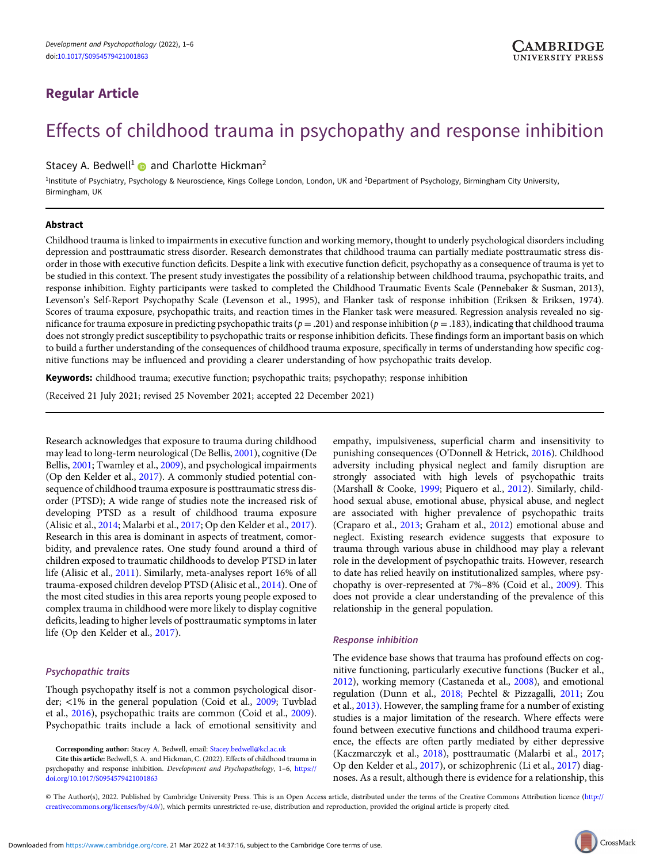# Regular Article

# Effects of childhood trauma in psychopathy and response inhibition

# Stacey A. Bedwell<sup>1</sup> and Charlotte Hickman<sup>2</sup>

<sup>1</sup>Institute of Psychiatry, Psychology & Neuroscience, Kings College London, London, UK and <sup>2</sup>Department of Psychology, Birmingham City University, Birmingham, UK

#### Abstract

Childhood trauma is linked to impairments in executive function and working memory, thought to underly psychological disorders including depression and posttraumatic stress disorder. Research demonstrates that childhood trauma can partially mediate posttraumatic stress disorder in those with executive function deficits. Despite a link with executive function deficit, psychopathy as a consequence of trauma is yet to be studied in this context. The present study investigates the possibility of a relationship between childhood trauma, psychopathic traits, and response inhibition. Eighty participants were tasked to completed the Childhood Traumatic Events Scale (Pennebaker & Susman, 2013), Levenson's Self-Report Psychopathy Scale (Levenson et al., 1995), and Flanker task of response inhibition (Eriksen & Eriksen, 1974). Scores of trauma exposure, psychopathic traits, and reaction times in the Flanker task were measured. Regression analysis revealed no significance for trauma exposure in predicting psychopathic traits ( $p = .201$ ) and response inhibition ( $p = .183$ ), indicating that childhood trauma does not strongly predict susceptibility to psychopathic traits or response inhibition deficits. These findings form an important basis on which to build a further understanding of the consequences of childhood trauma exposure, specifically in terms of understanding how specific cognitive functions may be influenced and providing a clearer understanding of how psychopathic traits develop.

Keywords: childhood trauma; executive function; psychopathic traits; psychopathy; response inhibition

(Received 21 July 2021; revised 25 November 2021; accepted 22 December 2021)

Research acknowledges that exposure to trauma during childhood may lead to long-term neurological (De Bellis, [2001](#page-4-0)), cognitive (De Bellis, [2001;](#page-4-0) Twamley et al., [2009\)](#page-4-0), and psychological impairments (Op den Kelder et al., [2017\)](#page-4-0). A commonly studied potential consequence of childhood trauma exposure is posttraumatic stress disorder (PTSD); A wide range of studies note the increased risk of developing PTSD as a result of childhood trauma exposure (Alisic et al., [2014;](#page-3-0) Malarbi et al., [2017](#page-4-0); Op den Kelder et al., [2017\)](#page-4-0). Research in this area is dominant in aspects of treatment, comorbidity, and prevalence rates. One study found around a third of children exposed to traumatic childhoods to develop PTSD in later life (Alisic et al., [2011](#page-3-0)). Similarly, meta-analyses report 16% of all trauma-exposed children develop PTSD (Alisic et al., [2014\)](#page-3-0). One of the most cited studies in this area reports young people exposed to complex trauma in childhood were more likely to display cognitive deficits, leading to higher levels of posttraumatic symptoms in later life (Op den Kelder et al., [2017\)](#page-4-0).

# Psychopathic traits

Though psychopathy itself is not a common psychological disorder; <1% in the general population (Coid et al., [2009;](#page-3-0) Tuvblad et al., [2016\)](#page-4-0), psychopathic traits are common (Coid et al., [2009\)](#page-3-0). Psychopathic traits include a lack of emotional sensitivity and

Cite this article: Bedwell, S. A. and Hickman, C. (2022). Effects of childhood trauma in psychopathy and response inhibition. Development and Psychopathology, 1–6, [https://](https://doi.org/10.1017/S0954579421001863) [doi.org/10.1017/S0954579421001863](https://doi.org/10.1017/S0954579421001863)

empathy, impulsiveness, superficial charm and insensitivity to punishing consequences (O'Donnell & Hetrick, [2016\)](#page-4-0). Childhood adversity including physical neglect and family disruption are strongly associated with high levels of psychopathic traits (Marshall & Cooke, [1999](#page-4-0); Piquero et al., [2012\)](#page-4-0). Similarly, childhood sexual abuse, emotional abuse, physical abuse, and neglect are associated with higher prevalence of psychopathic traits (Craparo et al., [2013](#page-4-0); Graham et al., [2012](#page-4-0)) emotional abuse and neglect. Existing research evidence suggests that exposure to trauma through various abuse in childhood may play a relevant role in the development of psychopathic traits. However, research to date has relied heavily on institutionalized samples, where psychopathy is over-represented at 7%–8% (Coid et al., [2009\)](#page-3-0). This does not provide a clear understanding of the prevalence of this relationship in the general population.

# Response inhibition

The evidence base shows that trauma has profound effects on cognitive functioning, particularly executive functions (Bucker et al., [2012](#page-3-0)), working memory (Castaneda et al., [2008\)](#page-3-0), and emotional regulation (Dunn et al., [2018;](#page-4-0) Pechtel & Pizzagalli, [2011](#page-4-0); Zou et al., [2013\).](#page-5-0) However, the sampling frame for a number of existing studies is a major limitation of the research. Where effects were found between executive functions and childhood trauma experience, the effects are often partly mediated by either depressive (Kaczmarczyk et al., [2018](#page-4-0)), posttraumatic (Malarbi et al., [2017;](#page-4-0) Op den Kelder et al., [2017\)](#page-4-0), or schizophrenic (Li et al., [2017](#page-4-0)) diagnoses. As a result, although there is evidence for a relationship, this

© The Author(s), 2022. Published by Cambridge University Press. This is an Open Access article, distributed under the terms of the Creative Commons Attribution licence [\(http://](http://creativecommons.org/licenses/by/4.0/) [creativecommons.org/licenses/by/4.0/](http://creativecommons.org/licenses/by/4.0/)), which permits unrestricted re-use, distribution and reproduction, provided the original article is properly cited.



Corresponding author: Stacey A. Bedwell, email: [Stacey.bedwell@kcl.ac.uk](mailto:Stacey.bedwell@kcl.ac.uk)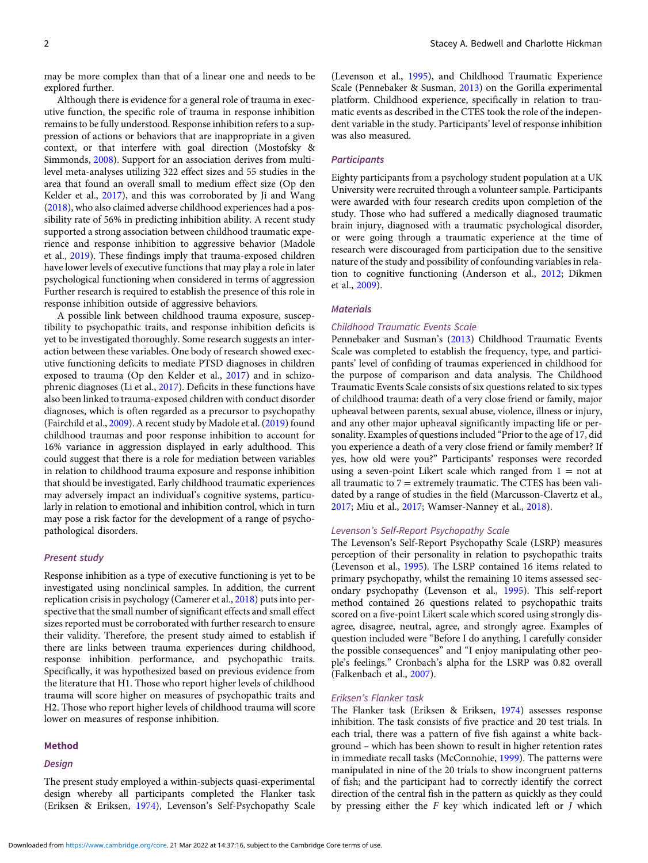may be more complex than that of a linear one and needs to be explored further.

Although there is evidence for a general role of trauma in executive function, the specific role of trauma in response inhibition remains to be fully understood. Response inhibition refers to a suppression of actions or behaviors that are inappropriate in a given context, or that interfere with goal direction (Mostofsky & Simmonds, [2008](#page-4-0)). Support for an association derives from multilevel meta-analyses utilizing 322 effect sizes and 55 studies in the area that found an overall small to medium effect size (Op den Kelder et al., [2017](#page-4-0)), and this was corroborated by Ji and Wang ([2018](#page-4-0)), who also claimed adverse childhood experiences had a possibility rate of 56% in predicting inhibition ability. A recent study supported a strong association between childhood traumatic experience and response inhibition to aggressive behavior (Madole et al., [2019\)](#page-4-0). These findings imply that trauma-exposed children have lower levels of executive functions that may play a role in later psychological functioning when considered in terms of aggression Further research is required to establish the presence of this role in response inhibition outside of aggressive behaviors.

A possible link between childhood trauma exposure, susceptibility to psychopathic traits, and response inhibition deficits is yet to be investigated thoroughly. Some research suggests an interaction between these variables. One body of research showed executive functioning deficits to mediate PTSD diagnoses in children exposed to trauma (Op den Kelder et al., [2017](#page-4-0)) and in schizophrenic diagnoses (Li et al., [2017](#page-4-0)). Deficits in these functions have also been linked to trauma-exposed children with conduct disorder diagnoses, which is often regarded as a precursor to psychopathy (Fairchild et al., [2009](#page-4-0)). A recent study by Madole et al. ([2019\)](#page-4-0) found childhood traumas and poor response inhibition to account for 16% variance in aggression displayed in early adulthood. This could suggest that there is a role for mediation between variables in relation to childhood trauma exposure and response inhibition that should be investigated. Early childhood traumatic experiences may adversely impact an individual's cognitive systems, particularly in relation to emotional and inhibition control, which in turn may pose a risk factor for the development of a range of psychopathological disorders.

# Present study

Response inhibition as a type of executive functioning is yet to be investigated using nonclinical samples. In addition, the current replication crisis in psychology (Camerer et al., [2018](#page-3-0)) puts into perspective that the small number of significant effects and small effect sizes reported must be corroborated with further research to ensure their validity. Therefore, the present study aimed to establish if there are links between trauma experiences during childhood, response inhibition performance, and psychopathic traits. Specifically, it was hypothesized based on previous evidence from the literature that H1. Those who report higher levels of childhood trauma will score higher on measures of psychopathic traits and H2. Those who report higher levels of childhood trauma will score lower on measures of response inhibition.

#### Method

#### Design

2 Stacey A. Bedwell and Charlotte Hickman

(Levenson et al., [1995](#page-4-0)), and Childhood Traumatic Experience Scale (Pennebaker & Susman, [2013](#page-4-0)) on the Gorilla experimental platform. Childhood experience, specifically in relation to traumatic events as described in the CTES took the role of the independent variable in the study. Participants' level of response inhibition was also measured.

#### **Participants**

Eighty participants from a psychology student population at a UK University were recruited through a volunteer sample. Participants were awarded with four research credits upon completion of the study. Those who had suffered a medically diagnosed traumatic brain injury, diagnosed with a traumatic psychological disorder, or were going through a traumatic experience at the time of research were discouraged from participation due to the sensitive nature of the study and possibility of confounding variables in relation to cognitive functioning (Anderson et al., [2012;](#page-3-0) Dikmen et al., [2009\)](#page-4-0).

# **Materials**

# Childhood Traumatic Events Scale

Pennebaker and Susman's [\(2013\)](#page-4-0) Childhood Traumatic Events Scale was completed to establish the frequency, type, and participants' level of confiding of traumas experienced in childhood for the purpose of comparison and data analysis. The Childhood Traumatic Events Scale consists of six questions related to six types of childhood trauma: death of a very close friend or family, major upheaval between parents, sexual abuse, violence, illness or injury, and any other major upheaval significantly impacting life or personality. Examples of questions included "Prior to the age of 17, did you experience a death of a very close friend or family member? If yes, how old were you?" Participants' responses were recorded using a seven-point Likert scale which ranged from  $1 = not$  at all traumatic to  $7 =$  extremely traumatic. The CTES has been validated by a range of studies in the field (Marcusson-Clavertz et al., [2017;](#page-4-0) Miu et al., [2017;](#page-4-0) Wamser-Nanney et al., [2018](#page-4-0)).

#### Levenson's Self-Report Psychopathy Scale

The Levenson's Self-Report Psychopathy Scale (LSRP) measures perception of their personality in relation to psychopathic traits (Levenson et al., [1995](#page-4-0)). The LSRP contained 16 items related to primary psychopathy, whilst the remaining 10 items assessed secondary psychopathy (Levenson et al., [1995](#page-4-0)). This self-report method contained 26 questions related to psychopathic traits scored on a five-point Likert scale which scored using strongly disagree, disagree, neutral, agree, and strongly agree. Examples of question included were "Before I do anything, I carefully consider the possible consequences" and "I enjoy manipulating other people's feelings." Cronbach's alpha for the LSRP was 0.82 overall (Falkenbach et al., [2007](#page-4-0)).

### Eriksen's Flanker task

The Flanker task (Eriksen & Eriksen, [1974](#page-4-0)) assesses response inhibition. The task consists of five practice and 20 test trials. In each trial, there was a pattern of five fish against a white background – which has been shown to result in higher retention rates in immediate recall tasks (McConnohie, [1999](#page-4-0)). The patterns were manipulated in nine of the 20 trials to show incongruent patterns of fish; and the participant had to correctly identify the correct direction of the central fish in the pattern as quickly as they could by pressing either the F key which indicated left or J which

The present study employed a within-subjects quasi-experimental design whereby all participants completed the Flanker task (Eriksen & Eriksen, [1974](#page-4-0)), Levenson's Self-Psychopathy Scale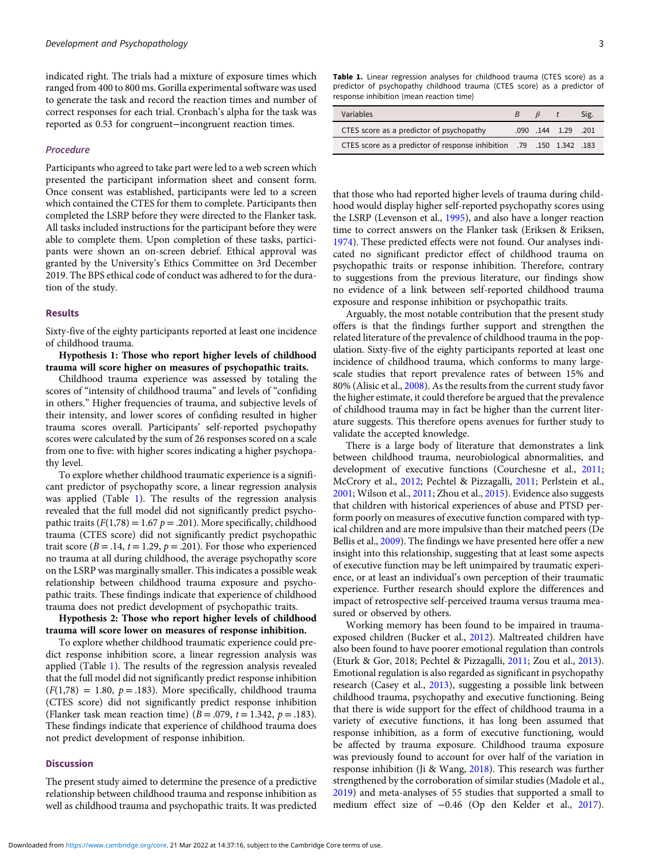indicated right. The trials had a mixture of exposure times which ranged from 400 to 800 ms. Gorilla experimental software was used to generate the task and record the reaction times and number of correct responses for each trial. Cronbach's alpha for the task was reported as 0.53 for congruent−incongruent reaction times.

# Procedure

Participants who agreed to take part were led to a web screen which presented the participant information sheet and consent form. Once consent was established, participants were led to a screen which contained the CTES for them to complete. Participants then completed the LSRP before they were directed to the Flanker task. All tasks included instructions for the participant before they were able to complete them. Upon completion of these tasks, participants were shown an on-screen debrief. Ethical approval was granted by the University's Ethics Committee on 3rd December 2019. The BPS ethical code of conduct was adhered to for the duration of the study.

#### Results

Sixty-five of the eighty participants reported at least one incidence of childhood trauma.

Hypothesis 1: Those who report higher levels of childhood trauma will score higher on measures of psychopathic traits.

Childhood trauma experience was assessed by totaling the scores of "intensity of childhood trauma" and levels of "confiding in others." Higher frequencies of trauma, and subjective levels of their intensity, and lower scores of confiding resulted in higher trauma scores overall. Participants' self-reported psychopathy scores were calculated by the sum of 26 responses scored on a scale from one to five: with higher scores indicating a higher psychopathy level.

To explore whether childhood traumatic experience is a significant predictor of psychopathy score, a linear regression analysis was applied (Table 1). The results of the regression analysis revealed that the full model did not significantly predict psychopathic traits ( $F(1,78) = 1.67$  p = .201). More specifically, childhood trauma (CTES score) did not significantly predict psychopathic trait score ( $B = .14$ ,  $t = 1.29$ ,  $p = .201$ ). For those who experienced no trauma at all during childhood, the average psychopathy score on the LSRP was marginally smaller. This indicates a possible weak relationship between childhood trauma exposure and psychopathic traits. These findings indicate that experience of childhood trauma does not predict development of psychopathic traits.

Hypothesis 2: Those who report higher levels of childhood trauma will score lower on measures of response inhibition.

To explore whether childhood traumatic experience could predict response inhibition score, a linear regression analysis was applied (Table 1). The results of the regression analysis revealed that the full model did not significantly predict response inhibition  $(F(1,78) = 1.80, p = .183)$ . More specifically, childhood trauma (CTES score) did not significantly predict response inhibition (Flanker task mean reaction time)  $(B = .079, t = 1.342, p = .183)$ . These findings indicate that experience of childhood trauma does not predict development of response inhibition.

#### **Discussion**

The present study aimed to determine the presence of a predictive relationship between childhood trauma and response inhibition as well as childhood trauma and psychopathic traits. It was predicted

Table 1. Linear regression analyses for childhood trauma (CTES score) as a predictor of psychopathy childhood trauma (CTES score) as a predictor of response inhibition (mean reaction time)

| Variables                                                            | B - | $\beta$ t |                     | Sig. |
|----------------------------------------------------------------------|-----|-----------|---------------------|------|
| CTES score as a predictor of psychopathy                             |     |           | .090 .144 1.29 .201 |      |
| CTES score as a predictor of response inhibition .79 .150 1.342 .183 |     |           |                     |      |

that those who had reported higher levels of trauma during childhood would display higher self-reported psychopathy scores using the LSRP (Levenson et al., [1995](#page-4-0)), and also have a longer reaction time to correct answers on the Flanker task (Eriksen & Eriksen, [1974](#page-4-0)). These predicted effects were not found. Our analyses indicated no significant predictor effect of childhood trauma on psychopathic traits or response inhibition. Therefore, contrary to suggestions from the previous literature, our findings show no evidence of a link between self-reported childhood trauma exposure and response inhibition or psychopathic traits.

Arguably, the most notable contribution that the present study offers is that the findings further support and strengthen the related literature of the prevalence of childhood trauma in the population. Sixty-five of the eighty participants reported at least one incidence of childhood trauma, which conforms to many largescale studies that report prevalence rates of between 15% and 80% (Alisic et al., [2008\)](#page-3-0). As the results from the current study favor the higher estimate, it could therefore be argued that the prevalence of childhood trauma may in fact be higher than the current literature suggests. This therefore opens avenues for further study to validate the accepted knowledge.

There is a large body of literature that demonstrates a link between childhood trauma, neurobiological abnormalities, and development of executive functions (Courchesne et al., [2011;](#page-4-0) McCrory et al., [2012](#page-4-0); Pechtel & Pizzagalli, [2011](#page-4-0); Perlstein et al., [2001](#page-4-0); Wilson et al., [2011;](#page-5-0) Zhou et al., [2015\)](#page-5-0). Evidence also suggests that children with historical experiences of abuse and PTSD perform poorly on measures of executive function compared with typical children and are more impulsive than their matched peers (De Bellis et al., [2009\)](#page-4-0). The findings we have presented here offer a new insight into this relationship, suggesting that at least some aspects of executive function may be left unimpaired by traumatic experience, or at least an individual's own perception of their traumatic experience. Further research should explore the differences and impact of retrospective self-perceived trauma versus trauma measured or observed by others.

Working memory has been found to be impaired in traumaexposed children (Bucker et al., [2012\)](#page-3-0). Maltreated children have also been found to have poorer emotional regulation than controls (Eturk & Gor, 2018; Pechtel & Pizzagalli, [2011;](#page-4-0) Zou et al., [2013\)](#page-5-0). Emotional regulation is also regarded as significant in psychopathy research (Casey et al., [2013\)](#page-3-0), suggesting a possible link between childhood trauma, psychopathy and executive functioning. Being that there is wide support for the effect of childhood trauma in a variety of executive functions, it has long been assumed that response inhibition, as a form of executive functioning, would be affected by trauma exposure. Childhood trauma exposure was previously found to account for over half of the variation in response inhibition (Ji & Wang, [2018\)](#page-4-0). This research was further strengthened by the corroboration of similar studies (Madole et al., [2019](#page-4-0)) and meta-analyses of 55 studies that supported a small to medium effect size of −0.46 (Op den Kelder et al., [2017\)](#page-4-0).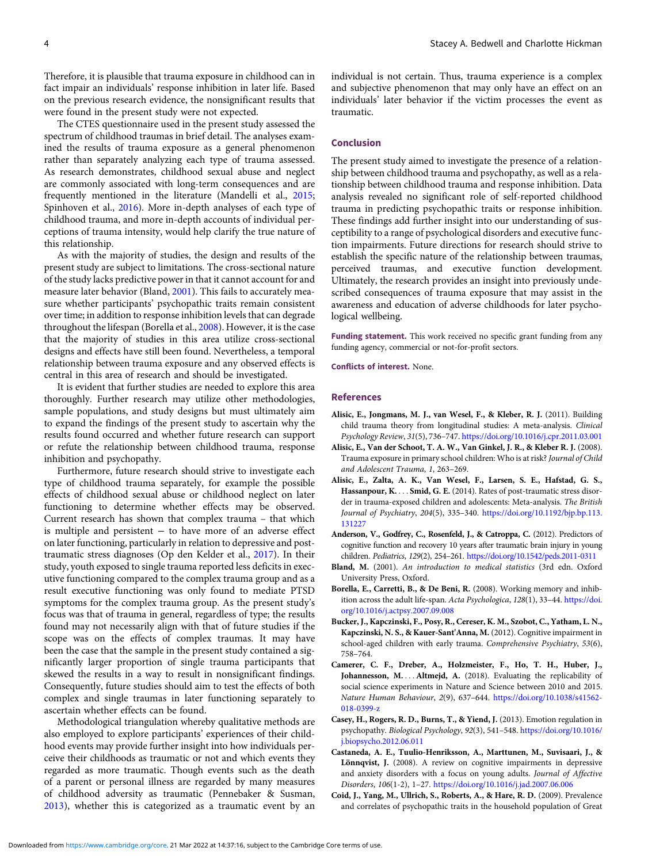<span id="page-3-0"></span>Therefore, it is plausible that trauma exposure in childhood can in fact impair an individuals' response inhibition in later life. Based on the previous research evidence, the nonsignificant results that were found in the present study were not expected.

The CTES questionnaire used in the present study assessed the spectrum of childhood traumas in brief detail. The analyses examined the results of trauma exposure as a general phenomenon rather than separately analyzing each type of trauma assessed. As research demonstrates, childhood sexual abuse and neglect are commonly associated with long-term consequences and are frequently mentioned in the literature (Mandelli et al., [2015](#page-4-0); Spinhoven et al., [2016\)](#page-4-0). More in-depth analyses of each type of childhood trauma, and more in-depth accounts of individual perceptions of trauma intensity, would help clarify the true nature of this relationship.

As with the majority of studies, the design and results of the present study are subject to limitations. The cross-sectional nature of the study lacks predictive power in that it cannot account for and measure later behavior (Bland, 2001). This fails to accurately measure whether participants' psychopathic traits remain consistent over time; in addition to response inhibition levels that can degrade throughout the lifespan (Borella et al., 2008). However, it is the case that the majority of studies in this area utilize cross-sectional designs and effects have still been found. Nevertheless, a temporal relationship between trauma exposure and any observed effects is central in this area of research and should be investigated.

It is evident that further studies are needed to explore this area thoroughly. Further research may utilize other methodologies, sample populations, and study designs but must ultimately aim to expand the findings of the present study to ascertain why the results found occurred and whether future research can support or refute the relationship between childhood trauma, response inhibition and psychopathy.

Furthermore, future research should strive to investigate each type of childhood trauma separately, for example the possible effects of childhood sexual abuse or childhood neglect on later functioning to determine whether effects may be observed. Current research has shown that complex trauma – that which is multiple and persistent − to have more of an adverse effect on later functioning, particularly in relation to depressive and posttraumatic stress diagnoses (Op den Kelder et al., [2017](#page-4-0)). In their study, youth exposed to single trauma reported less deficits in executive functioning compared to the complex trauma group and as a result executive functioning was only found to mediate PTSD symptoms for the complex trauma group. As the present study's focus was that of trauma in general, regardless of type; the results found may not necessarily align with that of future studies if the scope was on the effects of complex traumas. It may have been the case that the sample in the present study contained a significantly larger proportion of single trauma participants that skewed the results in a way to result in nonsignificant findings. Consequently, future studies should aim to test the effects of both complex and single traumas in later functioning separately to ascertain whether effects can be found.

Methodological triangulation whereby qualitative methods are also employed to explore participants' experiences of their childhood events may provide further insight into how individuals perceive their childhoods as traumatic or not and which events they regarded as more traumatic. Though events such as the death of a parent or personal illness are regarded by many measures of childhood adversity as traumatic (Pennebaker & Susman, [2013\)](#page-4-0), whether this is categorized as a traumatic event by an individual is not certain. Thus, trauma experience is a complex and subjective phenomenon that may only have an effect on an individuals' later behavior if the victim processes the event as traumatic.

#### Conclusion

The present study aimed to investigate the presence of a relationship between childhood trauma and psychopathy, as well as a relationship between childhood trauma and response inhibition. Data analysis revealed no significant role of self-reported childhood trauma in predicting psychopathic traits or response inhibition. These findings add further insight into our understanding of susceptibility to a range of psychological disorders and executive function impairments. Future directions for research should strive to establish the specific nature of the relationship between traumas, perceived traumas, and executive function development. Ultimately, the research provides an insight into previously undescribed consequences of trauma exposure that may assist in the awareness and education of adverse childhoods for later psychological wellbeing.

Funding statement. This work received no specific grant funding from any funding agency, commercial or not-for-profit sectors.

Conflicts of interest. None.

#### References

- Alisic, E., Jongmans, M. J., van Wesel, F., & Kleber, R. J. (2011). Building child trauma theory from longitudinal studies: A meta-analysis. Clinical Psychology Review, 31(5), 736–747. <https://doi.org/10.1016/j.cpr.2011.03.001>
- Alisic, E., Van der Schoot, T. A. W., Van Ginkel, J. R., & Kleber R. J. (2008). Trauma exposure in primary school children: Who is at risk? Journal of Child and Adolescent Trauma, 1, 263–269.
- Alisic, E., Zalta, A. K., Van Wesel, F., Larsen, S. E., Hafstad, G. S., Hassanpour, K. . . . Smid, G. E. (2014). Rates of post-traumatic stress disorder in trauma-exposed children and adolescents: Meta-analysis. The British Journal of Psychiatry, 204(5), 335–340. [https://doi.org/10.1192/bjp.bp.113.](https://doi.org/10.1192/bjp.bp.113.131227) [131227](https://doi.org/10.1192/bjp.bp.113.131227)
- Anderson, V., Godfrey, C., Rosenfeld, J., & Catroppa, C. (2012). Predictors of cognitive function and recovery 10 years after traumatic brain injury in young children. Pediatrics, 129(2), 254–261. <https://doi.org/10.1542/peds.2011-0311>
- Bland, M. (2001). An introduction to medical statistics (3rd edn. Oxford University Press, Oxford.
- Borella, E., Carretti, B., & De Beni, R. (2008). Working memory and inhibition across the adult life-span. Acta Psychologica, 128(1), 33–44. [https://doi.](https://doi.org/10.1016/j.actpsy.2007.09.008) [org/10.1016/j.actpsy.2007.09.008](https://doi.org/10.1016/j.actpsy.2007.09.008)
- Bucker, J., Kapczinski, F., Posy, R., Cereser, K. M., Szobot, C., Yatham, L. N., Kapczinski, N. S., & Kauer-Sant'Anna, M. (2012). Cognitive impairment in school-aged children with early trauma. Comprehensive Psychiatry, 53(6), 758–764.
- Camerer, C. F., Dreber, A., Holzmeister, F., Ho, T. H., Huber, J., Johannesson, M. ... Altmejd, A. (2018). Evaluating the replicability of social science experiments in Nature and Science between 2010 and 2015. Nature Human Behaviour, 2(9), 637–644. [https://doi.org/10.1038/s41562-](https://doi.org/10.1038/s41562-018-0399-z) [018-0399-z](https://doi.org/10.1038/s41562-018-0399-z)
- Casey, H., Rogers, R. D., Burns, T., & Yiend, J. (2013). Emotion regulation in psychopathy. Biological Psychology, 92(3), 541–548. [https://doi.org/10.1016/](https://doi.org/10.1016/j.biopsycho.2012.06.011) [j.biopsycho.2012.06.011](https://doi.org/10.1016/j.biopsycho.2012.06.011)
- Castaneda, A. E., Tuulio-Henriksson, A., Marttunen, M., Suvisaari, J., & Lönnqvist, J. (2008). A review on cognitive impairments in depressive and anxiety disorders with a focus on young adults. Journal of Affective Disorders, 106(1-2), 1–27. <https://doi.org/10.1016/j.jad.2007.06.006>
- Coid, J., Yang, M., Ullrich, S., Roberts, A., & Hare, R. D. (2009). Prevalence and correlates of psychopathic traits in the household population of Great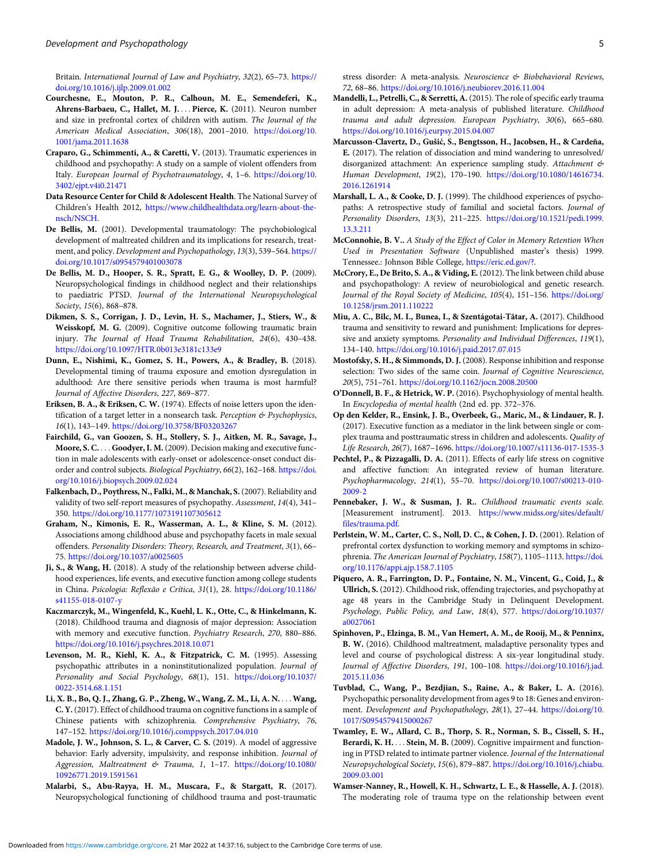<span id="page-4-0"></span>Britain. International Journal of Law and Psychiatry, 32(2), 65–73. [https://](https://doi.org/10.1016/j.ijlp.2009.01.002) [doi.org/10.1016/j.ijlp.2009.01.002](https://doi.org/10.1016/j.ijlp.2009.01.002)

- Courchesne, E., Mouton, P. R., Calhoun, M. E., Semendeferi, K., Ahrens-Barbaeu, C., Hallet, M. J. ... Pierce, K. (2011). Neuron number and size in prefrontal cortex of children with autism. The Journal of the American Medical Association, 306(18), 2001–2010. [https://doi.org/10.](https://doi.org/10.1001/jama.2011.1638) [1001/jama.2011.1638](https://doi.org/10.1001/jama.2011.1638)
- Craparo, G., Schimmenti, A., & Caretti, V. (2013). Traumatic experiences in childhood and psychopathy: A study on a sample of violent offenders from Italy. European Journal of Psychotraumatology, 4, 1–6. [https://doi.org/10.](https://doi.org/10.3402/ejpt.v4i0.21471) [3402/ejpt.v4i0.21471](https://doi.org/10.3402/ejpt.v4i0.21471)
- Data Resource Center for Child & Adolescent Health. The National Survey of Children's Health 2012, [https://www.childhealthdata.org/learn-about-the](https://www.childhealthdata.org/learn-about-the-nsch/NSCH)[nsch/NSCH](https://www.childhealthdata.org/learn-about-the-nsch/NSCH).
- De Bellis, M. (2001). Developmental traumatology: The psychobiological development of maltreated children and its implications for research, treatment, and policy. Development and Psychopathology, 13(3), 539–564. [https://](https://doi.org/10.1017/s0954579401003078) [doi.org/10.1017/s0954579401003078](https://doi.org/10.1017/s0954579401003078)
- De Bellis, M. D., Hooper, S. R., Spratt, E. G., & Woolley, D. P. (2009). Neuropsychological findings in childhood neglect and their relationships to paediatric PTSD. Journal of the International Neuropsychological Society, 15(6), 868–878.
- Dikmen, S. S., Corrigan, J. D., Levin, H. S., Machamer, J., Stiers, W., & Weisskopf, M. G. (2009). Cognitive outcome following traumatic brain injury. The Journal of Head Trauma Rehabilitation, 24(6), 430–438. <https://doi.org/10.1097/HTR.0b013e3181c133e9>
- Dunn, E., Nishimi, K., Gomez, S. H., Powers, A., & Bradley, B. (2018). Developmental timing of trauma exposure and emotion dysregulation in adulthood: Are there sensitive periods when trauma is most harmful? Journal of Affective Disorders, 227, 869–877.
- Eriksen, B. A., & Eriksen, C. W. (1974). Effects of noise letters upon the identification of a target letter in a nonsearch task. Perception & Psychophysics, 16(1), 143–149. <https://doi.org/10.3758/BF03203267>
- Fairchild, G., van Goozen, S. H., Stollery, S. J., Aitken, M. R., Savage, J., Moore, S. C. . . . Goodyer, I. M. (2009). Decision making and executive function in male adolescents with early-onset or adolescence-onset conduct disorder and control subjects. Biological Psychiatry, 66(2), 162–168. [https://doi.](https://doi.org/10.1016/j.biopsych.2009.02.024) [org/10.1016/j.biopsych.2009.02.024](https://doi.org/10.1016/j.biopsych.2009.02.024)
- Falkenbach, D., Poythress, N., Falki, M., & Manchak, S.(2007). Reliability and validity of two self-report measures of psychopathy. Assessment, 14(4), 341– 350. <https://doi.org/10.1177/1073191107305612>
- Graham, N., Kimonis, E. R., Wasserman, A. L., & Kline, S. M. (2012). Associations among childhood abuse and psychopathy facets in male sexual offenders. Personality Disorders: Theory, Research, and Treatment, 3(1), 66– 75. <https://doi.org/10.1037/a0025605>
- Ji, S., & Wang, H. (2018). A study of the relationship between adverse childhood experiences, life events, and executive function among college students in China. Psicologia: Reflexão e Crítica, 31(1), 28. [https://doi.org/10.1186/](https://doi.org/10.1186/s41155-018-0107-y) [s41155-018-0107-y](https://doi.org/10.1186/s41155-018-0107-y)
- Kaczmarczyk, M., Wingenfeld, K., Kuehl, L. K., Otte, C., & Hinkelmann, K. (2018). Childhood trauma and diagnosis of major depression: Association with memory and executive function. Psychiatry Research, 270, 880–886. <https://doi.org/10.1016/j.psychres.2018.10.071>
- Levenson, M. R., Kiehl, K. A., & Fitzpatrick, C. M. (1995). Assessing psychopathic attributes in a noninstitutionalized population. Journal of Personality and Social Psychology, 68(1), 151. [https://doi.org/10.1037/](https://doi.org/10.1037/0022-3514.68.1.151) [0022-3514.68.1.151](https://doi.org/10.1037/0022-3514.68.1.151)
- Li, X. B., Bo, Q. J., Zhang, G. P., Zheng, W., Wang, Z. M., Li, A. N. ::: Wang, C. Y.(2017). Effect of childhood trauma on cognitive functions in a sample of Chinese patients with schizophrenia. Comprehensive Psychiatry, 76, 147–152. <https://doi.org/10.1016/j.comppsych.2017.04.010>
- Madole, J. W., Johnson, S. L., & Carver, C. S. (2019). A model of aggressive behavior: Early adversity, impulsivity, and response inhibition. Journal of Aggression, Maltreatment & Trauma, 1, 1–17. [https://doi.org/10.1080/](https://doi.org/10.1080/10926771.2019.1591561) [10926771.2019.1591561](https://doi.org/10.1080/10926771.2019.1591561)
- Malarbi, S., Abu-Rayya, H. M., Muscara, F., & Stargatt, R. (2017). Neuropsychological functioning of childhood trauma and post-traumatic

stress disorder: A meta-analysis. Neuroscience & Biobehavioral Reviews, 72, 68–86. <https://doi.org/10.1016/j.neubiorev.2016.11.004>

- Mandelli, L., Petrelli, C., & Serretti, A. (2015). The role of specific early trauma in adult depression: A meta-analysis of published literature. Childhood trauma and adult depression. European Psychiatry, 30(6), 665–680. <https://doi.org/10.1016/j.eurpsy.2015.04.007>
- Marcusson-Clavertz, D., Gušić, S., Bengtsson, H., Jacobsen, H., & Cardeña, E. (2017). The relation of dissociation and mind wandering to unresolved/ disorganized attachment: An experience sampling study. Attachment & Human Development, 19(2), 170–190. [https://doi.org/10.1080/14616734.](https://doi.org/10.1080/14616734.2016.1261914) [2016.1261914](https://doi.org/10.1080/14616734.2016.1261914)
- Marshall, L. A., & Cooke, D. J. (1999). The childhood experiences of psychopaths: A retrospective study of familial and societal factors. Journal of Personality Disorders, 13(3), 211–225. [https://doi.org/10.1521/pedi.1999.](https://doi.org/10.1521/pedi.1999.13.3.211) [13.3.211](https://doi.org/10.1521/pedi.1999.13.3.211)
- McConnohie, B. V.. A Study of the Effect of Color in Memory Retention When Used in Presentation Software (Unpublished master's thesis) 1999. Tennessee.: Johnson Bible College, [https://eric.ed.gov/?.](https://eric.ed.gov/?)
- McCrory, E., De Brito, S. A., & Viding, E. (2012). The link between child abuse and psychopathology: A review of neurobiological and genetic research. Journal of the Royal Society of Medicine, 105(4), 151–156. [https://doi.org/](https://doi.org/10.1258/jrsm.2011.110222) [10.1258/jrsm.2011.110222](https://doi.org/10.1258/jrsm.2011.110222)
- Miu, A. C., Bîlc, M. I., Bunea, I., & Szentágotai-Tătar, A. (2017). Childhood trauma and sensitivity to reward and punishment: Implications for depressive and anxiety symptoms. Personality and Individual Differences, 119(1), 134–140. <https://doi.org/10.1016/j.paid.2017.07.015>
- Mostofsky, S. H., & Simmonds, D. J. (2008). Response inhibition and response selection: Two sides of the same coin. Journal of Cognitive Neuroscience, 20(5), 751–761. <https://doi.org/10.1162/jocn.2008.20500>
- O'Donnell, B. F., & Hetrick, W. P. (2016). Psychophysiology of mental health. In Encyclopedia of mental health (2nd ed. pp. 372–376.
- Op den Kelder, R., Ensink, J. B., Overbeek, G., Maric, M., & Lindauer, R. J. (2017). Executive function as a mediator in the link between single or complex trauma and posttraumatic stress in children and adolescents. Quality of Life Research, 26(7), 1687–1696. <https://doi.org/10.1007/s11136-017-1535-3>
- Pechtel, P., & Pizzagalli, D. A. (2011). Effects of early life stress on cognitive and affective function: An integrated review of human literature. Psychopharmacology, 214(1), 55–70. [https://doi.org/10.1007/s00213-010-](https://doi.org/10.1007/s00213-010-2009-2) [2009-2](https://doi.org/10.1007/s00213-010-2009-2)
- Pennebaker, J. W., & Susman, J. R.. Childhood traumatic events scale. [Measurement instrument]. 2013. [https://www.midss.org/sites/default/](https://www.midss.org/sites/default/files/trauma.pdf) [files/trauma.pdf](https://www.midss.org/sites/default/files/trauma.pdf).
- Perlstein, W. M., Carter, C. S., Noll, D. C., & Cohen, J. D. (2001). Relation of prefrontal cortex dysfunction to working memory and symptoms in schizophrenia. The American Journal of Psychiatry, 158(7), 1105–1113. [https://doi.](https://doi.org/10.1176/appi.ajp.158.7.1105) [org/10.1176/appi.ajp.158.7.1105](https://doi.org/10.1176/appi.ajp.158.7.1105)
- Piquero, A. R., Farrington, D. P., Fontaine, N. M., Vincent, G., Coid, J., & Ullrich, S. (2012). Childhood risk, offending trajectories, and psychopathy at age 48 years in the Cambridge Study in Delinquent Development. Psychology, Public Policy, and Law, 18(4), 577. [https://doi.org/10.1037/](https://doi.org/10.1037/a0027061) [a0027061](https://doi.org/10.1037/a0027061)
- Spinhoven, P., Elzinga, B. M., Van Hemert, A. M., de Rooij, M., & Penninx, B. W. (2016). Childhood maltreatment, maladaptive personality types and level and course of psychological distress: A six-year longitudinal study. Journal of Affective Disorders, 191, 100–108. [https://doi.org/10.1016/j.jad.](https://doi.org/10.1016/j.jad.2015.11.036) [2015.11.036](https://doi.org/10.1016/j.jad.2015.11.036)
- Tuvblad, C., Wang, P., Bezdjian, S., Raine, A., & Baker, L. A. (2016). Psychopathic personality development from ages 9 to 18: Genes and environment. Development and Psychopathology, 28(1), 27–44. [https://doi.org/10.](https://doi.org/10.1017/S0954579415000267) [1017/S0954579415000267](https://doi.org/10.1017/S0954579415000267)
- Twamley, E. W., Allard, C. B., Thorp, S. R., Norman, S. B., Cissell, S. H., Berardi, K. H. ... Stein, M. B. (2009). Cognitive impairment and functioning in PTSD related to intimate partner violence. Journal of the International Neuropsychological Society, 15(6), 879–887. [https://doi.org/10.1016/j.chiabu.](https://doi.org/10.1016/j.chiabu.2009.03.001) [2009.03.001](https://doi.org/10.1016/j.chiabu.2009.03.001)
- Wamser-Nanney, R., Howell, K. H., Schwartz, L. E., & Hasselle, A. J. (2018). The moderating role of trauma type on the relationship between event